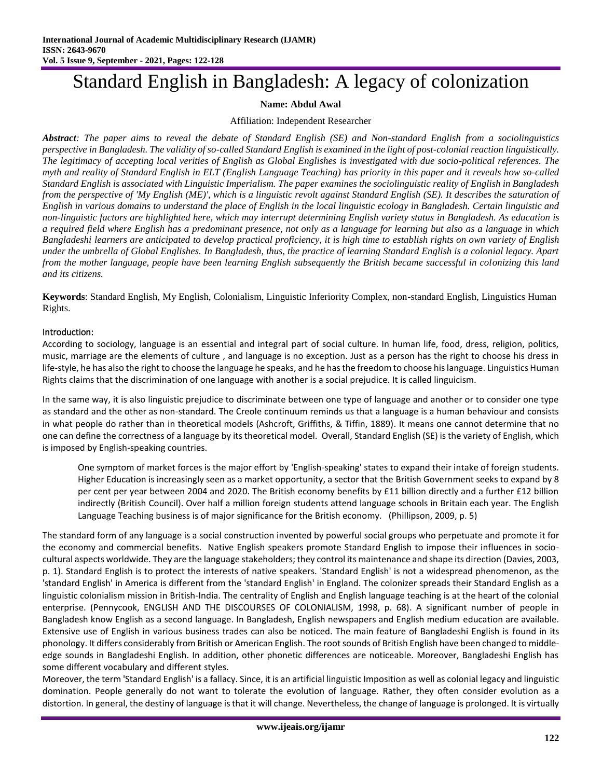# Standard English in Bangladesh: A legacy of colonization

# **Name: Abdul Awal**

## Affiliation: Independent Researcher

*Abstract: The paper aims to reveal the debate of Standard English (SE) and Non-standard English from a sociolinguistics perspective in Bangladesh. The validity of so-called Standard English is examined in the light of post-colonial reaction linguistically. The legitimacy of accepting local verities of English as Global Englishes is investigated with due socio-political references. The myth and reality of Standard English in ELT (English Language Teaching) has priority in this paper and it reveals how so-called Standard English is associated with Linguistic Imperialism. The paper examines the sociolinguistic reality of English in Bangladesh from the perspective of 'My English (ME)', which is a linguistic revolt against Standard English (SE). It describes the saturation of English in various domains to understand the place of English in the local linguistic ecology in Bangladesh. Certain linguistic and non-linguistic factors are highlighted here, which may interrupt determining English variety status in Bangladesh. As education is a required field where English has a predominant presence, not only as a language for learning but also as a language in which Bangladeshi learners are anticipated to develop practical proficiency, it is high time to establish rights on own variety of English under the umbrella of Global Englishes. In Bangladesh, thus, the practice of learning Standard English is a colonial legacy. Apart from the mother language, people have been learning English subsequently the British became successful in colonizing this land and its citizens.*

**Keywords**: Standard English, My English, Colonialism, Linguistic Inferiority Complex, non-standard English, Linguistics Human Rights.

## Introduction:

According to sociology, language is an essential and integral part of social culture. In human life, food, dress, religion, politics, music, marriage are the elements of culture , and language is no exception. Just as a person has the right to choose his dress in life-style, he has also the right to choose the language he speaks, and he has the freedom to choose his language. Linguistics Human Rights claims that the discrimination of one language with another is a social prejudice. It is called linguicism.

In the same way, it is also linguistic prejudice to discriminate between one type of language and another or to consider one type as standard and the other as non-standard. The Creole continuum reminds us that a language is a human behaviour and consists in what people do rather than in theoretical models (Ashcroft, Griffiths, & Tiffin, 1889). It means one cannot determine that no one can define the correctness of a language by its theoretical model. Overall, Standard English (SE) is the variety of English, which is imposed by English-speaking countries.

One symptom of market forces is the major effort by 'English-speaking' states to expand their intake of foreign students. Higher Education is increasingly seen as a market opportunity, a sector that the British Government seeks to expand by 8 per cent per year between 2004 and 2020. The British economy benefits by £11 billion directly and a further £12 billion indirectly (British Council). Over half a million foreign students attend language schools in Britain each year. The English Language Teaching business is of major significance for the British economy. (Phillipson, 2009, p. 5)

The standard form of any language is a social construction invented by powerful social groups who perpetuate and promote it for the economy and commercial benefits. Native English speakers promote Standard English to impose their influences in sociocultural aspects worldwide. They are the language stakeholders; they control its maintenance and shape its direction (Davies, 2003, p. 1). Standard English is to protect the interests of native speakers. 'Standard English' is not a widespread phenomenon, as the 'standard English' in America is different from the 'standard English' in England. The colonizer spreads their Standard English as a linguistic colonialism mission in British-India. The centrality of English and English language teaching is at the heart of the colonial enterprise. (Pennycook, ENGLISH AND THE DISCOURSES OF COLONIALISM, 1998, p. 68). A significant number of people in Bangladesh know English as a second language. In Bangladesh, English newspapers and English medium education are available. Extensive use of English in various business trades can also be noticed. The main feature of Bangladeshi English is found in its phonology. It differs considerably from British or American English. The root sounds of British English have been changed to middleedge sounds in Bangladeshi English. In addition, other phonetic differences are noticeable. Moreover, Bangladeshi English has some different vocabulary and different styles.

Moreover, the term 'Standard English' is a fallacy. Since, it is an artificial linguistic Imposition as well as colonial legacy and linguistic domination. People generally do not want to tolerate the evolution of language. Rather, they often consider evolution as a distortion. In general, the destiny of language is that it will change. Nevertheless, the change of language is prolonged. It is virtually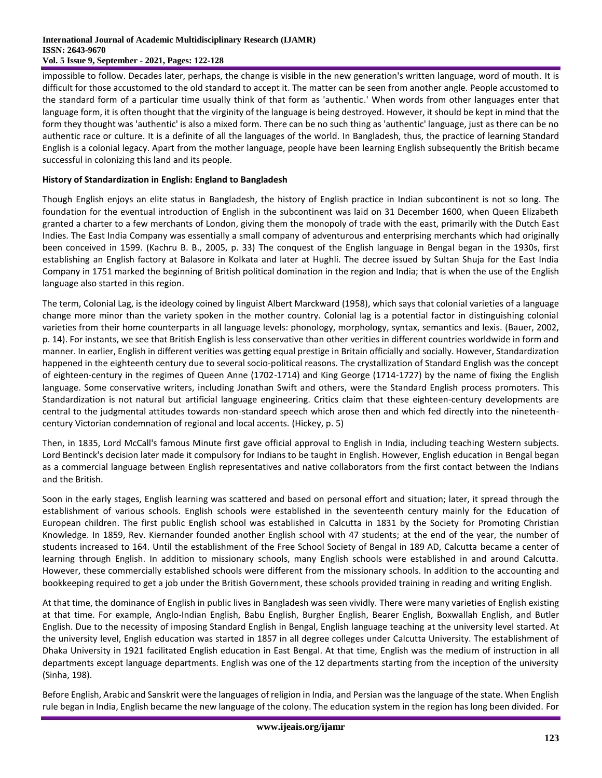impossible to follow. Decades later, perhaps, the change is visible in the new generation's written language, word of mouth. It is difficult for those accustomed to the old standard to accept it. The matter can be seen from another angle. People accustomed to the standard form of a particular time usually think of that form as 'authentic.' When words from other languages enter that language form, it is often thought that the virginity of the language is being destroyed. However, it should be kept in mind that the form they thought was 'authentic' is also a mixed form. There can be no such thing as 'authentic' language, just as there can be no authentic race or culture. It is a definite of all the languages of the world. In Bangladesh, thus, the practice of learning Standard English is a colonial legacy. Apart from the mother language, people have been learning English subsequently the British became successful in colonizing this land and its people.

# **History of Standardization in English: England to Bangladesh**

Though English enjoys an elite status in Bangladesh, the history of English practice in Indian subcontinent is not so long. The foundation for the eventual introduction of English in the subcontinent was laid on 31 December 1600, when Queen Elizabeth granted a charter to a few merchants of London, giving them the monopoly of trade with the east, primarily with the Dutch East Indies. The East India Company was essentially a small company of adventurous and enterprising merchants which had originally been conceived in 1599. (Kachru B. B., 2005, p. 33) The conquest of the English language in Bengal began in the 1930s, first establishing an English factory at Balasore in Kolkata and later at Hughli. The decree issued by Sultan Shuja for the East India Company in 1751 marked the beginning of British political domination in the region and India; that is when the use of the English language also started in this region.

The term, Colonial Lag, is the ideology coined by linguist Albert Marckward (1958), which says that colonial varieties of a language change more minor than the variety spoken in the mother country. Colonial lag is a potential factor in distinguishing colonial varieties from their home counterparts in all language levels: phonology, morphology, syntax, semantics and lexis. (Bauer, 2002, p. 14). For instants, we see that British English is less conservative than other verities in different countries worldwide in form and manner. In earlier, English in different verities was getting equal prestige in Britain officially and socially. However, Standardization happened in the eighteenth century due to several socio-political reasons. The crystallization of Standard English was the concept of eighteen-century in the regimes of Queen Anne (1702-1714) and King George (1714-1727) by the name of fixing the English language. Some conservative writers, including Jonathan Swift and others, were the Standard English process promoters. This Standardization is not natural but artificial language engineering. Critics claim that these eighteen-century developments are central to the judgmental attitudes towards non-standard speech which arose then and which fed directly into the nineteenthcentury Victorian condemnation of regional and local accents. (Hickey, p. 5)

Then, in 1835, Lord McCall's famous Minute first gave official approval to English in India, including teaching Western subjects. Lord Bentinck's decision later made it compulsory for Indians to be taught in English. However, English education in Bengal began as a commercial language between English representatives and native collaborators from the first contact between the Indians and the British.

Soon in the early stages, English learning was scattered and based on personal effort and situation; later, it spread through the establishment of various schools. English schools were established in the seventeenth century mainly for the Education of European children. The first public English school was established in Calcutta in 1831 by the Society for Promoting Christian Knowledge. In 1859, Rev. Kiernander founded another English school with 47 students; at the end of the year, the number of students increased to 164. Until the establishment of the Free School Society of Bengal in 189 AD, Calcutta became a center of learning through English. In addition to missionary schools, many English schools were established in and around Calcutta. However, these commercially established schools were different from the missionary schools. In addition to the accounting and bookkeeping required to get a job under the British Government, these schools provided training in reading and writing English.

At that time, the dominance of English in public lives in Bangladesh was seen vividly. There were many varieties of English existing at that time. For example, Anglo-Indian English, Babu English, Burgher English, Bearer English, Boxwallah English, and Butler English. Due to the necessity of imposing Standard English in Bengal, English language teaching at the university level started. At the university level, English education was started in 1857 in all degree colleges under Calcutta University. The establishment of Dhaka University in 1921 facilitated English education in East Bengal. At that time, English was the medium of instruction in all departments except language departments. English was one of the 12 departments starting from the inception of the university (Sinha, 198).

Before English, Arabic and Sanskrit were the languages of religion in India, and Persian was the language of the state. When English rule began in India, English became the new language of the colony. The education system in the region has long been divided. For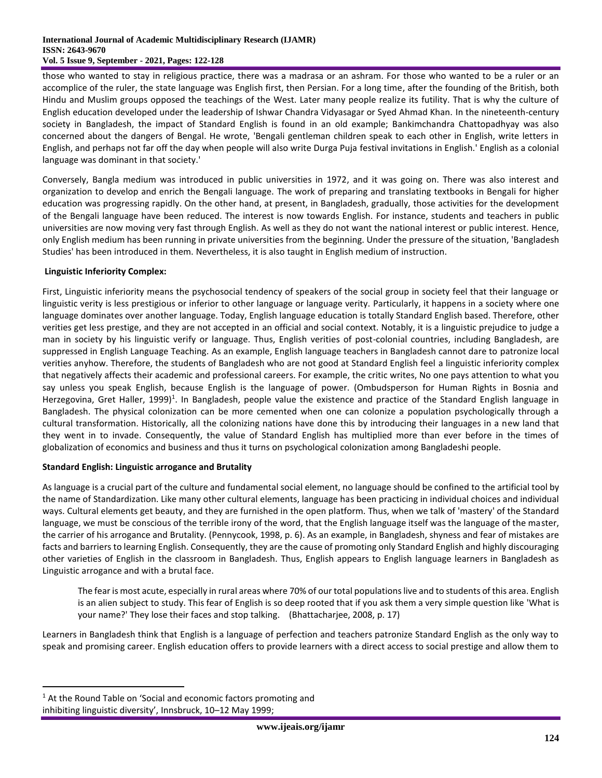#### **International Journal of Academic Multidisciplinary Research (IJAMR) ISSN: 2643-9670 Vol. 5 Issue 9, September - 2021, Pages: 122-128**

those who wanted to stay in religious practice, there was a madrasa or an ashram. For those who wanted to be a ruler or an accomplice of the ruler, the state language was English first, then Persian. For a long time, after the founding of the British, both Hindu and Muslim groups opposed the teachings of the West. Later many people realize its futility. That is why the culture of English education developed under the leadership of Ishwar Chandra Vidyasagar or Syed Ahmad Khan. In the nineteenth-century society in Bangladesh, the impact of Standard English is found in an old example; Bankimchandra Chattopadhyay was also concerned about the dangers of Bengal. He wrote, 'Bengali gentleman children speak to each other in English, write letters in English, and perhaps not far off the day when people will also write Durga Puja festival invitations in English.' English as a colonial language was dominant in that society.'

Conversely, Bangla medium was introduced in public universities in 1972, and it was going on. There was also interest and organization to develop and enrich the Bengali language. The work of preparing and translating textbooks in Bengali for higher education was progressing rapidly. On the other hand, at present, in Bangladesh, gradually, those activities for the development of the Bengali language have been reduced. The interest is now towards English. For instance, students and teachers in public universities are now moving very fast through English. As well as they do not want the national interest or public interest. Hence, only English medium has been running in private universities from the beginning. Under the pressure of the situation, 'Bangladesh Studies' has been introduced in them. Nevertheless, it is also taught in English medium of instruction.

# **Linguistic Inferiority Complex:**

First, Linguistic inferiority means the psychosocial tendency of speakers of the social group in society feel that their language or linguistic verity is less prestigious or inferior to other language or language verity. Particularly, it happens in a society where one language dominates over another language. Today, English language education is totally Standard English based. Therefore, other verities get less prestige, and they are not accepted in an official and social context. Notably, it is a linguistic prejudice to judge a man in society by his linguistic verify or language. Thus, English verities of post-colonial countries, including Bangladesh, are suppressed in English Language Teaching. As an example, English language teachers in Bangladesh cannot dare to patronize local verities anyhow. Therefore, the students of Bangladesh who are not good at Standard English feel a linguistic inferiority complex that negatively affects their academic and professional careers. For example, the critic writes, No one pays attention to what you say unless you speak English, because English is the language of power. (Ombudsperson for Human Rights in Bosnia and Herzegovina, Gret Haller, 1999)<sup>1</sup>. In Bangladesh, people value the existence and practice of the Standard English language in Bangladesh. The physical colonization can be more cemented when one can colonize a population psychologically through a cultural transformation. Historically, all the colonizing nations have done this by introducing their languages in a new land that they went in to invade. Consequently, the value of Standard English has multiplied more than ever before in the times of globalization of economics and business and thus it turns on psychological colonization among Bangladeshi people.

## **Standard English: Linguistic arrogance and Brutality**

As language is a crucial part of the culture and fundamental social element, no language should be confined to the artificial tool by the name of Standardization. Like many other cultural elements, language has been practicing in individual choices and individual ways. Cultural elements get beauty, and they are furnished in the open platform. Thus, when we talk of 'mastery' of the Standard language, we must be conscious of the terrible irony of the word, that the English language itself was the language of the master, the carrier of his arrogance and Brutality. (Pennycook, 1998, p. 6). As an example, in Bangladesh, shyness and fear of mistakes are facts and barriers to learning English. Consequently, they are the cause of promoting only Standard English and highly discouraging other varieties of English in the classroom in Bangladesh. Thus, English appears to English language learners in Bangladesh as Linguistic arrogance and with a brutal face.

The fear is most acute, especially in rural areas where 70% of our total populations live and to students of this area. English is an alien subject to study. This fear of English is so deep rooted that if you ask them a very simple question like 'What is your name?' They lose their faces and stop talking. (Bhattacharjee, 2008, p. 17)

Learners in Bangladesh think that English is a language of perfection and teachers patronize Standard English as the only way to speak and promising career. English education offers to provide learners with a direct access to social prestige and allow them to

 $\overline{a}$ 

<sup>&</sup>lt;sup>1</sup> At the Round Table on 'Social and economic factors promoting and inhibiting linguistic diversity', Innsbruck, 10–12 May 1999;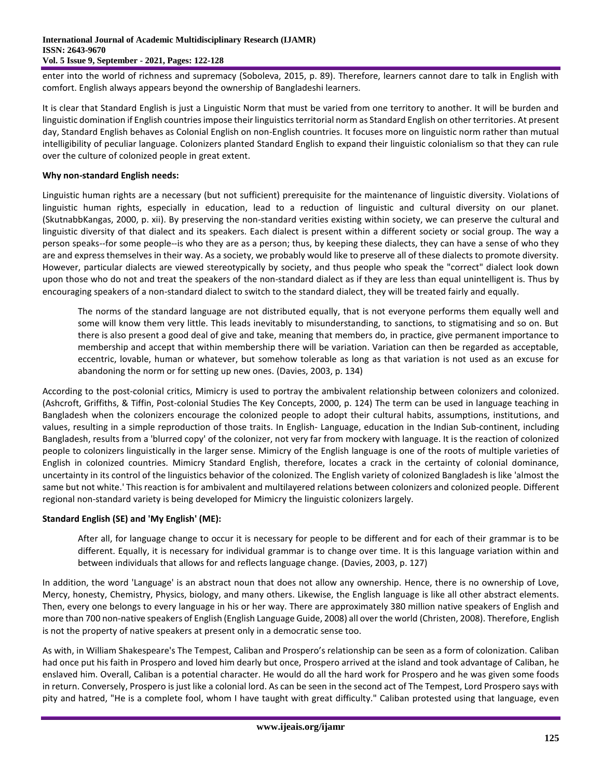enter into the world of richness and supremacy (Soboleva, 2015, p. 89). Therefore, learners cannot dare to talk in English with comfort. English always appears beyond the ownership of Bangladeshi learners.

It is clear that Standard English is just a Linguistic Norm that must be varied from one territory to another. It will be burden and linguistic domination if English countries impose their linguistics territorial norm as Standard English on other territories. At present day, Standard English behaves as Colonial English on non-English countries. It focuses more on linguistic norm rather than mutual intelligibility of peculiar language. Colonizers planted Standard English to expand their linguistic colonialism so that they can rule over the culture of colonized people in great extent.

# **Why non-standard English needs:**

Linguistic human rights are a necessary (but not sufficient) prerequisite for the maintenance of linguistic diversity. Violations of linguistic human rights, especially in education, lead to a reduction of linguistic and cultural diversity on our planet. (SkutnabbKangas, 2000, p. xii). By preserving the non-standard verities existing within society, we can preserve the cultural and linguistic diversity of that dialect and its speakers. Each dialect is present within a different society or social group. The way a person speaks--for some people--is who they are as a person; thus, by keeping these dialects, they can have a sense of who they are and express themselves in their way. As a society, we probably would like to preserve all of these dialects to promote diversity. However, particular dialects are viewed stereotypically by society, and thus people who speak the "correct" dialect look down upon those who do not and treat the speakers of the non-standard dialect as if they are less than equal unintelligent is. Thus by encouraging speakers of a non-standard dialect to switch to the standard dialect, they will be treated fairly and equally.

The norms of the standard language are not distributed equally, that is not everyone performs them equally well and some will know them very little. This leads inevitably to misunderstanding, to sanctions, to stigmatising and so on. But there is also present a good deal of give and take, meaning that members do, in practice, give permanent importance to membership and accept that within membership there will be variation. Variation can then be regarded as acceptable, eccentric, lovable, human or whatever, but somehow tolerable as long as that variation is not used as an excuse for abandoning the norm or for setting up new ones. (Davies, 2003, p. 134)

According to the post-colonial critics, Mimicry is used to portray the ambivalent relationship between colonizers and colonized. (Ashcroft, Griffiths, & Tiffin, Post-colonial Studies The Key Concepts, 2000, p. 124) The term can be used in language teaching in Bangladesh when the colonizers encourage the colonized people to adopt their cultural habits, assumptions, institutions, and values, resulting in a simple reproduction of those traits. In English- Language, education in the Indian Sub-continent, including Bangladesh, results from a 'blurred copy' of the colonizer, not very far from mockery with language. It is the reaction of colonized people to colonizers linguistically in the larger sense. Mimicry of the English language is one of the roots of multiple varieties of English in colonized countries. Mimicry Standard English, therefore, locates a crack in the certainty of colonial dominance, uncertainty in its control of the linguistics behavior of the colonized. The English variety of colonized Bangladesh is like 'almost the same but not white.' This reaction is for ambivalent and multilayered relations between colonizers and colonized people. Different regional non-standard variety is being developed for Mimicry the linguistic colonizers largely.

# **Standard English (SE) and 'My English' (ME):**

After all, for language change to occur it is necessary for people to be different and for each of their grammar is to be different. Equally, it is necessary for individual grammar is to change over time. It is this language variation within and between individuals that allows for and reflects language change. (Davies, 2003, p. 127)

In addition, the word 'Language' is an abstract noun that does not allow any ownership. Hence, there is no ownership of Love, Mercy, honesty, Chemistry, Physics, biology, and many others. Likewise, the English language is like all other abstract elements. Then, every one belongs to every language in his or her way. There are approximately 380 million native speakers of English and more than 700 non-native speakers of English (English Language Guide, 2008) all over the world (Christen, 2008). Therefore, English is not the property of native speakers at present only in a democratic sense too.

As with, in William Shakespeare's The Tempest, Caliban and Prospero's relationship can be seen as a form of colonization. Caliban had once put his faith in Prospero and loved him dearly but once, Prospero arrived at the island and took advantage of Caliban, he enslaved him. Overall, Caliban is a potential character. He would do all the hard work for Prospero and he was given some foods in return. Conversely, Prospero is just like a colonial lord. As can be seen in the second act of The Tempest, Lord Prospero says with pity and hatred, "He is a complete fool, whom I have taught with great difficulty." Caliban protested using that language, even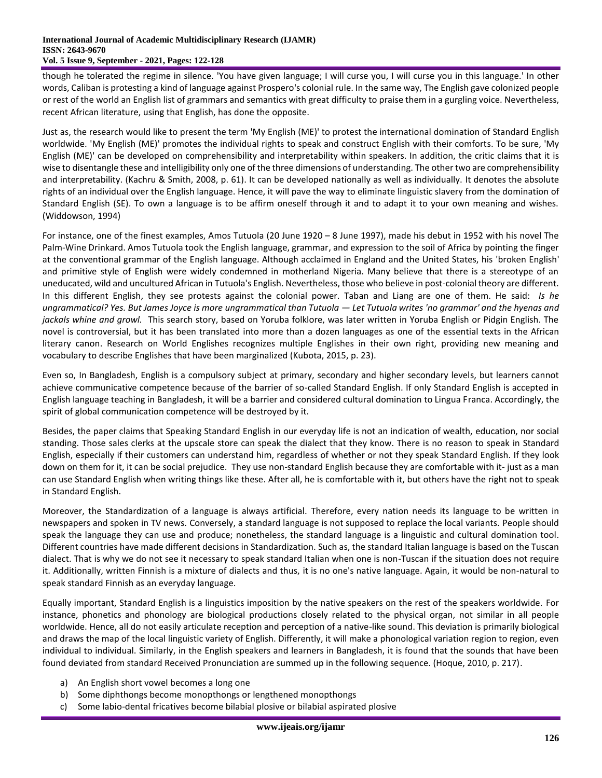#### **International Journal of Academic Multidisciplinary Research (IJAMR) ISSN: 2643-9670 Vol. 5 Issue 9, September - 2021, Pages: 122-128**

though he tolerated the regime in silence. 'You have given language; I will curse you, I will curse you in this language.' In other words, Caliban is protesting a kind of language against Prospero's colonial rule. In the same way, The English gave colonized people or rest of the world an English list of grammars and semantics with great difficulty to praise them in a gurgling voice. Nevertheless, recent African literature, using that English, has done the opposite.

Just as, the research would like to present the term 'My English (ME)' to protest the international domination of Standard English worldwide. 'My English (ME)' promotes the individual rights to speak and construct English with their comforts. To be sure, 'My English (ME)' can be developed on comprehensibility and interpretability within speakers. In addition, the critic claims that it is wise to disentangle these and intelligibility only one of the three dimensions of understanding. The other two are comprehensibility and interpretability. (Kachru & Smith, 2008, p. 61). It can be developed nationally as well as individually. It denotes the absolute rights of an individual over the English language. Hence, it will pave the way to eliminate linguistic slavery from the domination of Standard English (SE). To own a language is to be affirm oneself through it and to adapt it to your own meaning and wishes. (Widdowson, 1994)

For instance, one of the finest examples, Amos Tutuola (20 June 1920 – 8 June 1997), made his debut in 1952 with his novel The Palm-Wine Drinkard. Amos Tutuola took the English language, grammar, and expression to the soil of Africa by pointing the finger at the conventional grammar of the English language. Although acclaimed in England and the United States, his 'broken English' and primitive style of English were widely condemned in motherland Nigeria. Many believe that there is a stereotype of an uneducated, wild and uncultured African in Tutuola's English. Nevertheless, those who believe in post-colonial theory are different. In this different English, they see protests against the colonial power. Taban and Liang are one of them. He said: *Is he ungrammatical? Yes. But James Joyce is more ungrammatical than Tutuola — Let Tutuola writes 'no grammar' and the hyenas and jackals whine and growl.* This search story, based on Yoruba folklore, was later written in Yoruba English or Pidgin English. The novel is controversial, but it has been translated into more than a dozen languages as one of the essential texts in the African literary canon. Research on World Englishes recognizes multiple Englishes in their own right, providing new meaning and vocabulary to describe Englishes that have been marginalized (Kubota, 2015, p. 23).

Even so, In Bangladesh, English is a compulsory subject at primary, secondary and higher secondary levels, but learners cannot achieve communicative competence because of the barrier of so-called Standard English. If only Standard English is accepted in English language teaching in Bangladesh, it will be a barrier and considered cultural domination to Lingua Franca. Accordingly, the spirit of global communication competence will be destroyed by it.

Besides, the paper claims that Speaking Standard English in our everyday life is not an indication of wealth, education, nor social standing. Those sales clerks at the upscale store can speak the dialect that they know. There is no reason to speak in Standard English, especially if their customers can understand him, regardless of whether or not they speak Standard English. If they look down on them for it, it can be social prejudice. They use non-standard English because they are comfortable with it- just as a man can use Standard English when writing things like these. After all, he is comfortable with it, but others have the right not to speak in Standard English.

Moreover, the Standardization of a language is always artificial. Therefore, every nation needs its language to be written in newspapers and spoken in TV news. Conversely, a standard language is not supposed to replace the local variants. People should speak the language they can use and produce; nonetheless, the standard language is a linguistic and cultural domination tool. Different countries have made different decisions in Standardization. Such as, the standard Italian language is based on the Tuscan dialect. That is why we do not see it necessary to speak standard Italian when one is non-Tuscan if the situation does not require it. Additionally, written Finnish is a mixture of dialects and thus, it is no one's native language. Again, it would be non-natural to speak standard Finnish as an everyday language.

Equally important, Standard English is a linguistics imposition by the native speakers on the rest of the speakers worldwide. For instance, phonetics and phonology are biological productions closely related to the physical organ, not similar in all people worldwide. Hence, all do not easily articulate reception and perception of a native-like sound. This deviation is primarily biological and draws the map of the local linguistic variety of English. Differently, it will make a phonological variation region to region, even individual to individual. Similarly, in the English speakers and learners in Bangladesh, it is found that the sounds that have been found deviated from standard Received Pronunciation are summed up in the following sequence. (Hoque, 2010, p. 217).

- a) An English short vowel becomes a long one
- b) Some diphthongs become monopthongs or lengthened monopthongs
- c) Some labio-dental fricatives become bilabial plosive or bilabial aspirated plosive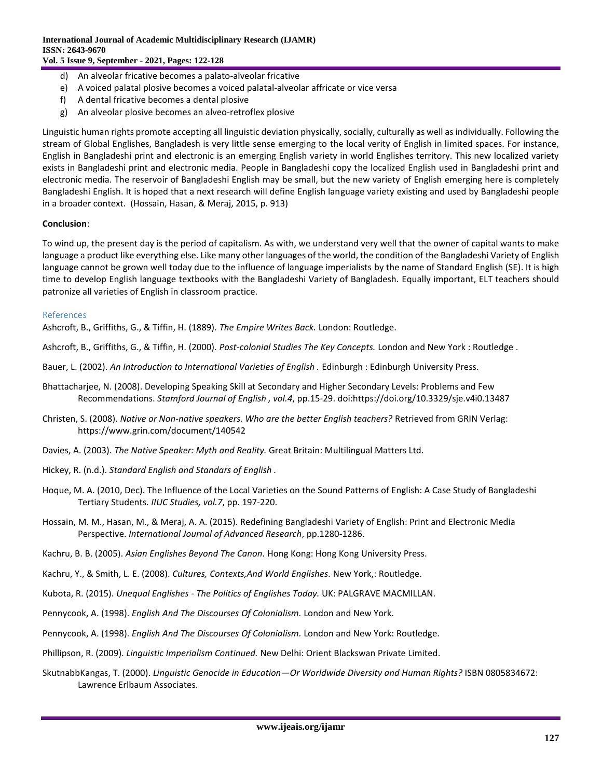- d) An alveolar fricative becomes a palato-alveolar fricative
- e) A voiced palatal plosive becomes a voiced palatal-alveolar affricate or vice versa
- f) A dental fricative becomes a dental plosive
- g) An alveolar plosive becomes an alveo-retroflex plosive

Linguistic human rights promote accepting all linguistic deviation physically, socially, culturally as well as individually. Following the stream of Global Englishes, Bangladesh is very little sense emerging to the local verity of English in limited spaces. For instance, English in Bangladeshi print and electronic is an emerging English variety in world Englishes territory. This new localized variety exists in Bangladeshi print and electronic media. People in Bangladeshi copy the localized English used in Bangladeshi print and electronic media. The reservoir of Bangladeshi English may be small, but the new variety of English emerging here is completely Bangladeshi English. It is hoped that a next research will define English language variety existing and used by Bangladeshi people in a broader context. (Hossain, Hasan, & Meraj, 2015, p. 913)

## **Conclusion**:

To wind up, the present day is the period of capitalism. As with, we understand very well that the owner of capital wants to make language a product like everything else. Like many other languages of the world, the condition of the Bangladeshi Variety of English language cannot be grown well today due to the influence of language imperialists by the name of Standard English (SE). It is high time to develop English language textbooks with the Bangladeshi Variety of Bangladesh. Equally important, ELT teachers should patronize all varieties of English in classroom practice.

## References

Ashcroft, B., Griffiths, G., & Tiffin, H. (1889). *The Empire Writes Back.* London: Routledge.

Ashcroft, B., Griffiths, G., & Tiffin, H. (2000). *Post-colonial Studies The Key Concepts.* London and New York : Routledge .

- Bauer, L. (2002). *An Introduction to International Varieties of English .* Edinburgh : Edinburgh University Press.
- Bhattacharjee, N. (2008). Developing Speaking Skill at Secondary and Higher Secondary Levels: Problems and Few Recommendations. *Stamford Journal of English , vol.4*, pp.15-29. doi:https://doi.org/10.3329/sje.v4i0.13487
- Christen, S. (2008). *Native or Non-native speakers. Who are the better English teachers?* Retrieved from GRIN Verlag: https://www.grin.com/document/140542
- Davies, A. (2003). *The Native Speaker: Myth and Reality.* Great Britain: Multilingual Matters Ltd.
- Hickey, R. (n.d.). *Standard English and Standars of English .*
- Hoque, M. A. (2010, Dec). The Influence of the Local Varieties on the Sound Patterns of English: A Case Study of Bangladeshi Tertiary Students. *IIUC Studies, vol.7*, pp. 197-220.
- Hossain, M. M., Hasan, M., & Meraj, A. A. (2015). Redefining Bangladeshi Variety of English: Print and Electronic Media Perspective. *International Journal of Advanced Research*, pp.1280-1286.
- Kachru, B. B. (2005). *Asian Englishes Beyond The Canon.* Hong Kong: Hong Kong University Press.
- Kachru, Y., & Smith, L. E. (2008). *Cultures, Contexts,And World Englishes.* New York,: Routledge.
- Kubota, R. (2015). *Unequal Englishes - The Politics of Englishes Today.* UK: PALGRAVE MACMILLAN.
- Pennycook, A. (1998). *English And The Discourses Of Colonialism.* London and New York.
- Pennycook, A. (1998). *English And The Discourses Of Colonialism.* London and New York: Routledge.
- Phillipson, R. (2009). *Linguistic Imperialism Continued.* New Delhi: Orient Blackswan Private Limited.
- SkutnabbKangas, T. (2000). *Linguistic Genocide in Education—Or Worldwide Diversity and Human Rights?* ISBN 0805834672: Lawrence Erlbaum Associates.